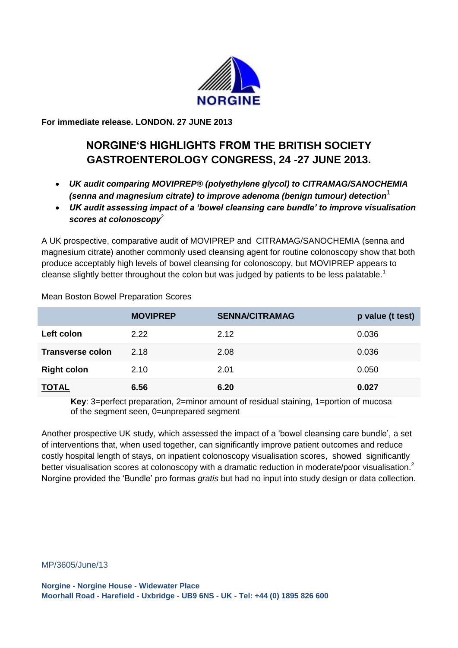

**For immediate release. LONDON. 27 JUNE 2013**

# **NORGINE'S HIGHLIGHTS FROM THE BRITISH SOCIETY GASTROENTEROLOGY CONGRESS, 24 -27 JUNE 2013.**

- *UK audit comparing MOVIPREP® (polyethylene glycol) to CITRAMAG/SANOCHEMIA (senna and magnesium citrate) to improve adenoma (benign tumour) detection*<sup>1</sup>
- *UK audit assessing impact of a 'bowel cleansing care bundle' to improve visualisation scores at colonoscopy*<sup>2</sup>

A UK prospective, comparative audit of MOVIPREP and CITRAMAG/SANOCHEMIA (senna and magnesium citrate) another commonly used cleansing agent for routine colonoscopy show that both produce acceptably high levels of bowel cleansing for colonoscopy, but MOVIPREP appears to cleanse slightly better throughout the colon but was judged by patients to be less palatable.<sup>1</sup>

|                         | <b>MOVIPREP</b> | <b>SENNA/CITRAMAG</b> | p value (t test) |
|-------------------------|-----------------|-----------------------|------------------|
| Left colon              | 2.22            | 2.12                  | 0.036            |
| <b>Transverse colon</b> | 2.18            | 2.08                  | 0.036            |
| <b>Right colon</b>      | 2.10            | 2.01                  | 0.050            |
| <b>TOTAL</b>            | 6.56            | 6.20                  | 0.027            |

Mean Boston Bowel Preparation Scores

**Key**: 3=perfect preparation, 2=minor amount of residual staining, 1=portion of mucosa of the segment seen, 0=unprepared segment

Another prospective UK study, which assessed the impact of a 'bowel cleansing care bundle', a set of interventions that, when used together, can significantly improve patient outcomes and reduce costly hospital length of stays, on inpatient colonoscopy visualisation scores, showed significantly better visualisation scores at colonoscopy with a dramatic reduction in moderate/poor visualisation.<sup>2</sup> Norgine provided the 'Bundle' pro formas *gratis* but had no input into study design or data collection.

MP/3605/June/13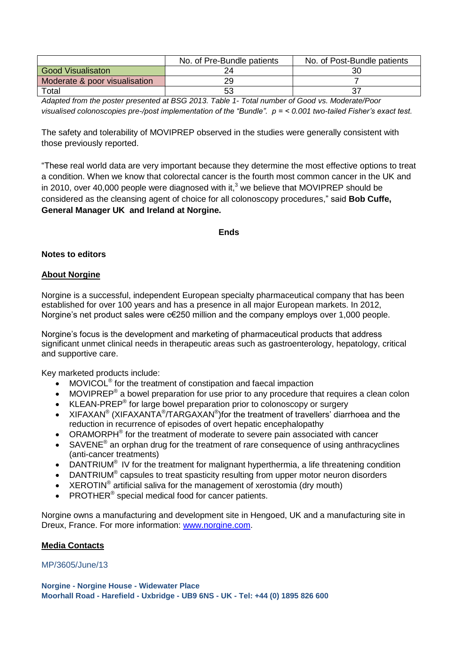|                               | No. of Pre-Bundle patients | No. of Post-Bundle patients |
|-------------------------------|----------------------------|-----------------------------|
| <b>Good Visualisaton</b>      |                            | 30                          |
| Moderate & poor visualisation | 29                         |                             |
| Total                         |                            |                             |

*Adapted from the poster presented at BSG 2013. Table 1- Total number of Good vs. Moderate/Poor visualised colonoscopies pre-/post implementation of the "Bundle". p = < 0.001 two-tailed Fisher's exact test.*

The safety and tolerability of MOVIPREP observed in the studies were generally consistent with those previously reported.

"These real world data are very important because they determine the most effective options to treat a condition. When we know that colorectal cancer is the [fourth most common cancer in the UK](http://info.cancerresearchuk.org/cancerstats/incidence/commoncancers/#Twenty) and in 2010, over 40,000 people were diagnosed with it, $3$  we believe that MOVIPREP should be considered as the cleansing agent of choice for all colonoscopy procedures," said **Bob Cuffe, General Manager UK and Ireland at Norgine.** 

#### **Ends**

#### **Notes to editors**

## **About Norgine**

Norgine is a successful, independent European specialty pharmaceutical company that has been established for over 100 years and has a presence in all major European markets. In 2012, Norgine's net product sales were c€250 million and the company employs over 1,000 people.

Norgine's focus is the development and marketing of pharmaceutical products that address significant unmet clinical needs in therapeutic areas such as gastroenterology, hepatology, critical and supportive care.

Key marketed products include:

- MOVICOL<sup>®</sup> for the treatment of constipation and faecal impaction
- $\bullet$  MOVIPREP<sup>®</sup> a bowel preparation for use prior to any procedure that requires a clean colon
- $\bullet$  KLEAN-PREP® for large bowel preparation prior to colonoscopy or surgery
- XIFAXAN<sup>®</sup> (XIFAXANTA<sup>®</sup>/TARGAXAN<sup>®</sup>)for the treatment of travellers' diarrhoea and the reduction in recurrence of episodes of overt hepatic encephalopathy
- ORAMORPH<sup>®</sup> for the treatment of moderate to severe pain associated with cancer
- SAVENE<sup>®</sup> an orphan drug for the treatment of rare consequence of using anthracyclines (anti-cancer treatments)
- DANTRIUM<sup>®</sup> IV for the treatment for malignant hyperthermia, a life threatening condition
- DANTRIUM® capsules to treat spasticity resulting from upper motor neuron disorders
- XEROTIN<sup>®</sup> artificial saliva for the management of xerostomia (dry mouth)
- PROTHER<sup>®</sup> special medical food for cancer patients.

Norgine owns a manufacturing and development site in Hengoed, UK and a manufacturing site in Dreux, France. For more information: [www.norgine.com.](http://www.norgine.com/)

## **Media Contacts**

## MP/3605/June/13

**Norgine - Norgine House - Widewater Place Moorhall Road - Harefield - Uxbridge - UB9 6NS - UK - Tel: +44 (0) 1895 826 600**